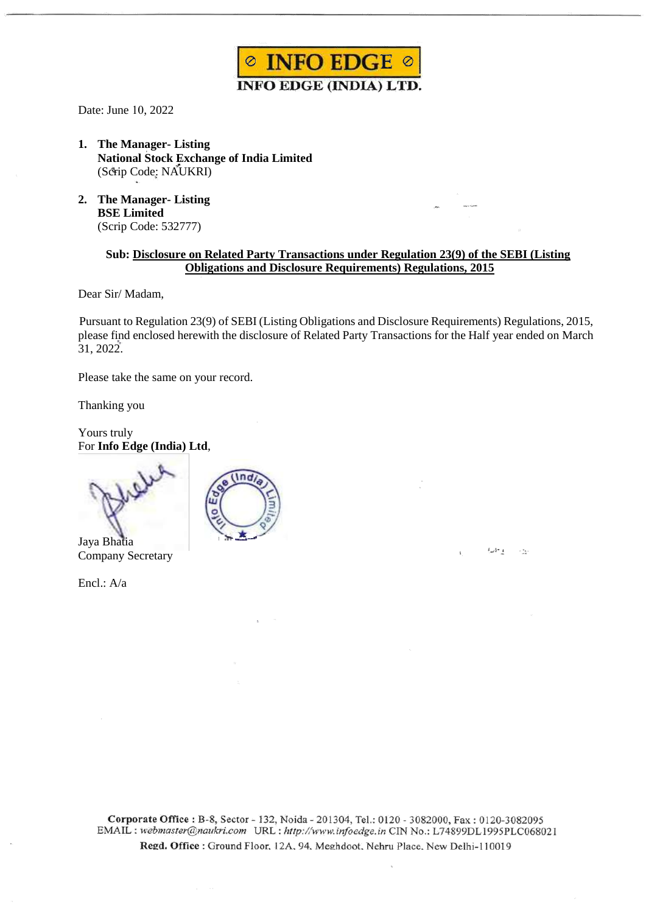

Date: June 10, 2022

- **1. The Manager- Listing National Stock Exchange of India Limited** (Scrip Code: NAUKRI)
- **2. The Manager- Listing BSE Limited** (Scrip Code: 532777)

## **Sub: Disclosure on Related Party Transactions under Regulation 23(9) of the SEBI (Listing Obligations and Disclosure Requirements) Regulations, 2015**

Dear Sir/ Madam,

 Pursuant to Regulation 23(9) of SEBI (Listing Obligations and Disclosure Requirements) Regulations, 2015, please find enclosed herewith the disclosure of Related Party Transactions for the Half year ended on March 31, 2022.

6月1日 万分

Please take the same on your record.

Thanking you

Yours truly For **Info Edge (India) Ltd**,



Jaya Bhatia Company Secretary

Encl.: A/a



Corporate Office: B-8, Sector - 132, Noida - 201304, Tel.: 0120 - 3082000, Fax: 0120-3082095 EMAIL : webmaster@naukri.com URL : http://www.infoedge.in CIN No.: L74899DL1995PLC068021 Regd. Office: Ground Floor, 12A, 94, Meghdoot, Nehru Place, New Delhi-110019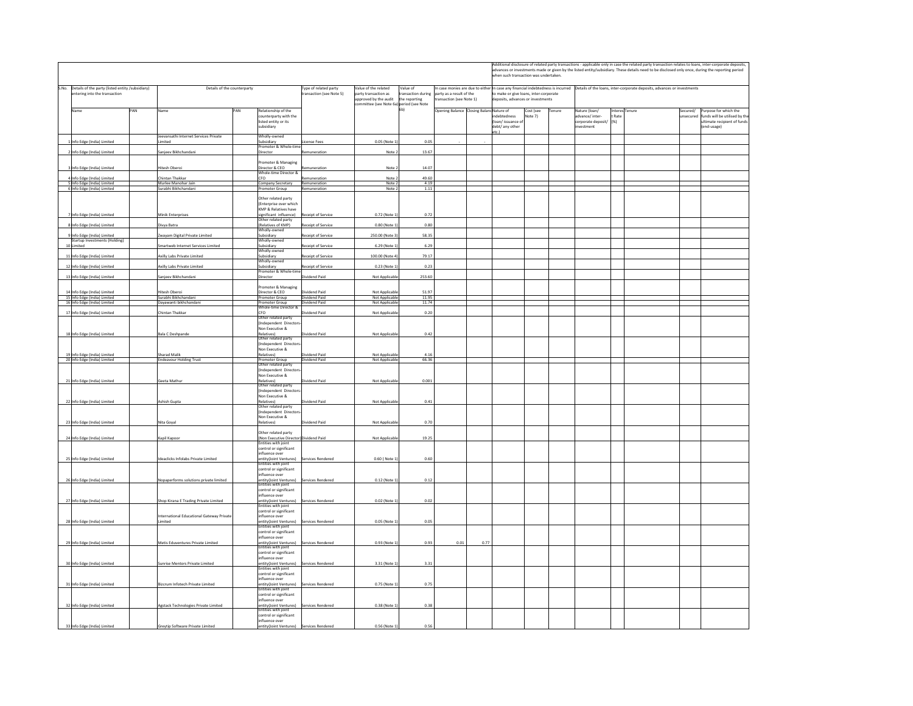|                               |                                                              |     |                                         |                                                             |                            |                                  |                                              |                                         |                                        |                                       |           |        |                                                                                                                                                  | Additional disclosure of related party transactions - applicable only in case the related party transaction relates to loans, inter-corporate deposits, |          |                             |  |
|-------------------------------|--------------------------------------------------------------|-----|-----------------------------------------|-------------------------------------------------------------|----------------------------|----------------------------------|----------------------------------------------|-----------------------------------------|----------------------------------------|---------------------------------------|-----------|--------|--------------------------------------------------------------------------------------------------------------------------------------------------|---------------------------------------------------------------------------------------------------------------------------------------------------------|----------|-----------------------------|--|
|                               |                                                              |     |                                         |                                                             |                            |                                  |                                              |                                         |                                        |                                       |           |        | advances or investments made or given by the listed entity/subsidiary. These details need to be disclosed only once, during the reporting period |                                                                                                                                                         |          |                             |  |
|                               |                                                              |     |                                         |                                                             |                            |                                  |                                              |                                         |                                        | when such transaction was undertaken. |           |        |                                                                                                                                                  |                                                                                                                                                         |          |                             |  |
|                               | S.No. Details of the party (listed entity /subsidiary)       |     | Details of the counterparty             |                                                             | Type of related party      | Value of the related             | Value of                                     |                                         |                                        |                                       |           |        |                                                                                                                                                  | In case monies are due to either In case any financial indebtedness is incurred Details of the loans, inter-corporate deposits, advances or investments |          |                             |  |
| entering into the transaction |                                                              |     |                                         | ransaction (see Note 5)                                     | party transaction as       | transaction during               | party as a result of the                     |                                         | to make or give loans, inter-corporate |                                       |           |        |                                                                                                                                                  |                                                                                                                                                         |          |                             |  |
|                               |                                                              |     |                                         |                                                             |                            | approved by the audit            | the reporting                                | ransaction (see Note 1)                 |                                        | deposits, advances or investments     |           |        |                                                                                                                                                  |                                                                                                                                                         |          |                             |  |
|                               | Name                                                         | PAN | Name                                    | PAN<br>Relationship of the                                  |                            |                                  | mittee (see Note 6a) period (see Note<br>6h) | Opening Balance Closing BalancNature of |                                        |                                       | Cost (see | Tenure | Nature (loan/                                                                                                                                    | Interes Tenure                                                                                                                                          | Secured/ | Purpose for which the       |  |
|                               |                                                              |     |                                         | counterparty with the                                       |                            |                                  |                                              |                                         |                                        | debtedness                            | Vote 7)   |        | dvance/ inter-                                                                                                                                   | Rate                                                                                                                                                    | secured  | unds will be utilised by th |  |
|                               |                                                              |     |                                         | listed entity or its                                        |                            |                                  |                                              |                                         |                                        | (loan/issuance of                     |           |        | corporate deposit/                                                                                                                               | (96)                                                                                                                                                    |          | Itimate recipient of funds  |  |
|                               |                                                              |     |                                         | subsidiary                                                  |                            |                                  |                                              |                                         |                                        | debt/ any other<br>etc.)              |           |        | <b>westment</b>                                                                                                                                  |                                                                                                                                                         |          | end-usage)                  |  |
|                               |                                                              |     | leevansathi Internet Services Private   | Wholly-owned                                                |                            |                                  |                                              |                                         |                                        |                                       |           |        |                                                                                                                                                  |                                                                                                                                                         |          |                             |  |
|                               | Info Edge (India) Limited                                    |     | imited                                  | Subsidiary<br>Promoter & Whole-tin                          | cense Fees                 | 0.05 (Note 1)                    | 0.05                                         |                                         |                                        |                                       |           |        |                                                                                                                                                  |                                                                                                                                                         |          |                             |  |
|                               | Info Edge (India) Limited                                    |     | Sanjeev Bikhchandani                    | Director                                                    | muneration                 | Note 2                           | 13.67                                        |                                         |                                        |                                       |           |        |                                                                                                                                                  |                                                                                                                                                         |          |                             |  |
|                               |                                                              |     |                                         | Promoter & Managing                                         |                            |                                  |                                              |                                         |                                        |                                       |           |        |                                                                                                                                                  |                                                                                                                                                         |          |                             |  |
|                               | Info Edge (India) Limited                                    |     | Hitesh Oberoi                           | Director & CEO                                              | emuneration                | Note 2                           | 14.07                                        |                                         |                                        |                                       |           |        |                                                                                                                                                  |                                                                                                                                                         |          |                             |  |
|                               |                                                              |     |                                         | Whole-time Director &                                       |                            |                                  |                                              |                                         |                                        |                                       |           |        |                                                                                                                                                  |                                                                                                                                                         |          |                             |  |
|                               | nfo Edge (India) Limited                                     |     | hintan Thakkar<br>Murlee Manohar Jain   | CEO.                                                        | muneration<br>Remuneration | Note:<br>Note 2                  | 49.60<br>4.19                                |                                         |                                        |                                       |           |        |                                                                                                                                                  |                                                                                                                                                         |          |                             |  |
|                               | 5 Info Edge (India) Limited<br>6 Info Edge (India) Limited   |     | iurabhi Bikhchandan                     | Company Secretary<br>Promoter Group                         | uneration                  | Note:                            | 1.11                                         |                                         |                                        |                                       |           |        |                                                                                                                                                  |                                                                                                                                                         |          |                             |  |
|                               |                                                              |     |                                         | Other related party                                         |                            |                                  |                                              |                                         |                                        |                                       |           |        |                                                                                                                                                  |                                                                                                                                                         |          |                             |  |
|                               |                                                              |     |                                         | (Enterprise over which                                      |                            |                                  |                                              |                                         |                                        |                                       |           |        |                                                                                                                                                  |                                                                                                                                                         |          |                             |  |
|                               |                                                              |     |                                         | <b>KMP &amp; Relatives have</b>                             |                            |                                  |                                              |                                         |                                        |                                       |           |        |                                                                                                                                                  |                                                                                                                                                         |          |                             |  |
|                               | Info Edge (India) Limited                                    |     | Minik Enterprises                       | significant influence)<br>Other related party               | ceipt of Service           | 0.72 (Note 1                     | 0.72                                         |                                         |                                        |                                       |           |        |                                                                                                                                                  |                                                                                                                                                         |          |                             |  |
|                               | Info Edge (India) Limited                                    |     | Divya Batra                             | (Relatives of KMP)                                          | eceipt of Service          | 0.80 (Note 1)                    | 0.80                                         |                                         |                                        |                                       |           |        |                                                                                                                                                  |                                                                                                                                                         |          |                             |  |
|                               |                                                              |     |                                         | Wholly-owned                                                |                            |                                  |                                              |                                         |                                        |                                       |           |        |                                                                                                                                                  |                                                                                                                                                         |          |                             |  |
|                               | Info Edge (India) Limited<br>Startup Investments (Holding)   |     | Zwayam Digital Private Limited          | Subsidiary<br>Wholly-owned                                  | eceipt of Service          | 250.00 (Note 3)                  | 58.35                                        |                                         |                                        |                                       |           |        |                                                                                                                                                  |                                                                                                                                                         |          |                             |  |
|                               | Limited                                                      |     | imartweb Internet Services Limited      | Subsidiary                                                  | ceipt of Service           | 6.29 (Note 1                     | 6.29                                         |                                         |                                        |                                       |           |        |                                                                                                                                                  |                                                                                                                                                         |          |                             |  |
|                               |                                                              |     | Axilly Labs Private Limited             | Wholly-owned                                                | ceipt of Service           | 100.00 (Note 4)                  | 79.17                                        |                                         |                                        |                                       |           |        |                                                                                                                                                  |                                                                                                                                                         |          |                             |  |
|                               | 11 Info Edge (India) Limited                                 |     |                                         | Subsidiary<br>Wholly-owned                                  |                            |                                  |                                              |                                         |                                        |                                       |           |        |                                                                                                                                                  |                                                                                                                                                         |          |                             |  |
|                               | 12 Info Edge (India) Limited                                 |     | Axilly Labs Private Limited             | subsidiary                                                  | eceipt of Service          | 0.23 (Note 1)                    | 0.23                                         |                                         |                                        |                                       |           |        |                                                                                                                                                  |                                                                                                                                                         |          |                             |  |
|                               | 13 Info Edge (India) Limited                                 |     | Sanjeev Bikhchandani                    | romoter & Whole-tim<br>Director                             | Widend Paid                | Not Applicable                   | 253.60                                       |                                         |                                        |                                       |           |        |                                                                                                                                                  |                                                                                                                                                         |          |                             |  |
|                               |                                                              |     |                                         |                                                             |                            |                                  |                                              |                                         |                                        |                                       |           |        |                                                                                                                                                  |                                                                                                                                                         |          |                             |  |
|                               |                                                              |     |                                         | romoter & Managing<br>Director & CEO                        | ividend Paid               |                                  | 51.97                                        |                                         |                                        |                                       |           |        |                                                                                                                                                  |                                                                                                                                                         |          |                             |  |
|                               | 14 Info Edge (India) Limited<br>15 Info Edge (India) Limited |     | Hitesh Oberoi<br>Surabhi Bikhchandani   | Promoter Group                                              | Dividend Paid              | Not Applicable<br>Not Applicable |                                              |                                         |                                        |                                       |           |        |                                                                                                                                                  |                                                                                                                                                         |          |                             |  |
|                               | 16 Info Edge (India) Limited                                 |     | Dayawanti bikhchandani                  | Promoter Group                                              | Widend Paid                | Not Applicable                   | $\frac{11.95}{11.74}$                        |                                         |                                        |                                       |           |        |                                                                                                                                                  |                                                                                                                                                         |          |                             |  |
|                               | 17 Info Edge (India) Limited                                 |     | Chintan Thakkar                         | Whole-time Director &<br>CEO.                               | vidend Paid                | Not Applicable                   | 0.20                                         |                                         |                                        |                                       |           |        |                                                                                                                                                  |                                                                                                                                                         |          |                             |  |
|                               |                                                              |     |                                         | Other related party                                         |                            |                                  |                                              |                                         |                                        |                                       |           |        |                                                                                                                                                  |                                                                                                                                                         |          |                             |  |
|                               |                                                              |     |                                         | (Independent Directo                                        |                            |                                  |                                              |                                         |                                        |                                       |           |        |                                                                                                                                                  |                                                                                                                                                         |          |                             |  |
|                               | 18 Info Edge (India) Limited                                 |     | <b>Bala C Deshpande</b>                 | Non Executive &                                             | vidend Paid                | Not Applicable                   | 0.42                                         |                                         |                                        |                                       |           |        |                                                                                                                                                  |                                                                                                                                                         |          |                             |  |
|                               |                                                              |     |                                         | Relatives)<br>Other related party                           |                            |                                  |                                              |                                         |                                        |                                       |           |        |                                                                                                                                                  |                                                                                                                                                         |          |                             |  |
|                               |                                                              |     |                                         | (Independent Directo<br>Non Executive &                     |                            |                                  |                                              |                                         |                                        |                                       |           |        |                                                                                                                                                  |                                                                                                                                                         |          |                             |  |
|                               | 19 Info Edge (India) Limited                                 |     | <b>Sharad Malik</b>                     | Relatives)                                                  | Widend Paid                | Not Applicable                   | 4.16                                         |                                         |                                        |                                       |           |        |                                                                                                                                                  |                                                                                                                                                         |          |                             |  |
|                               | 20 Info Edge (India) Limited                                 |     | Endeavour Holding Trust                 | Promoter Group<br>Other related party                       | Widend Paid                | Not Applicab                     | 66.36                                        |                                         |                                        |                                       |           |        |                                                                                                                                                  |                                                                                                                                                         |          |                             |  |
|                               |                                                              |     |                                         | (Indenendent Directo                                        |                            |                                  |                                              |                                         |                                        |                                       |           |        |                                                                                                                                                  |                                                                                                                                                         |          |                             |  |
|                               |                                                              |     |                                         | Non Executive &                                             |                            |                                  |                                              |                                         |                                        |                                       |           |        |                                                                                                                                                  |                                                                                                                                                         |          |                             |  |
|                               | 21 Info Edge (India) Limited                                 |     | Geeta Mathur                            | Relatives)<br>Other related party                           | Dividend Paid              | Not Applicable                   | 0.001                                        |                                         |                                        |                                       |           |        |                                                                                                                                                  |                                                                                                                                                         |          |                             |  |
|                               |                                                              |     |                                         | (Independent Director                                       |                            |                                  |                                              |                                         |                                        |                                       |           |        |                                                                                                                                                  |                                                                                                                                                         |          |                             |  |
|                               |                                                              |     |                                         | Non Executive &                                             |                            |                                  |                                              |                                         |                                        |                                       |           |        |                                                                                                                                                  |                                                                                                                                                         |          |                             |  |
|                               | 22 Info Edge (India) Limited                                 |     | Ashish Gupta                            | Relatives)<br>Other related party                           | vidend Paid                | Not Applicabl                    | 0.41                                         |                                         |                                        |                                       |           |        |                                                                                                                                                  |                                                                                                                                                         |          |                             |  |
|                               |                                                              |     |                                         | (Independent Directo                                        |                            |                                  |                                              |                                         |                                        |                                       |           |        |                                                                                                                                                  |                                                                                                                                                         |          |                             |  |
|                               | 23 Info Edge (India) Limited                                 |     | Nita Goyal                              | Non Executive &<br>delatives)                               | vidend Paid                | Not Applicable                   | 0.70                                         |                                         |                                        |                                       |           |        |                                                                                                                                                  |                                                                                                                                                         |          |                             |  |
|                               |                                                              |     |                                         |                                                             |                            |                                  |                                              |                                         |                                        |                                       |           |        |                                                                                                                                                  |                                                                                                                                                         |          |                             |  |
|                               |                                                              |     |                                         | Other related narty                                         |                            |                                  |                                              |                                         |                                        |                                       |           |        |                                                                                                                                                  |                                                                                                                                                         |          |                             |  |
|                               | 24 Info Edge (India) Limited                                 |     | Kapil Kapoor                            | (Non Executive Director) Dividend Paid<br>ntities with join |                            | Not Applicable                   | 19.25                                        |                                         |                                        |                                       |           |        |                                                                                                                                                  |                                                                                                                                                         |          |                             |  |
|                               |                                                              |     |                                         | control or significant                                      |                            |                                  |                                              |                                         |                                        |                                       |           |        |                                                                                                                                                  |                                                                                                                                                         |          |                             |  |
|                               |                                                              |     |                                         | influence over                                              |                            |                                  |                                              |                                         |                                        |                                       |           |        |                                                                                                                                                  |                                                                                                                                                         |          |                             |  |
|                               | 25 Info Edge (India) Limited                                 |     | Ideaclicks Infolabs Private Limited     | entity(Joint Ventures)<br>Entities with joint               | Services Rendered          | 0.60 (Note 1                     | 0.60                                         |                                         |                                        |                                       |           |        |                                                                                                                                                  |                                                                                                                                                         |          |                             |  |
|                               |                                                              |     |                                         | control or significant                                      |                            |                                  |                                              |                                         |                                        |                                       |           |        |                                                                                                                                                  |                                                                                                                                                         |          |                             |  |
|                               | 26 Info Edge (India) Limited                                 |     | Nopaperforms solutions private limited  | influence over<br>entity(Joint Ventures)                    | Services Rendered          | 0.12 (Note 1)                    | 0.12                                         |                                         |                                        |                                       |           |        |                                                                                                                                                  |                                                                                                                                                         |          |                             |  |
|                               |                                                              |     |                                         | intities with joint                                         |                            |                                  |                                              |                                         |                                        |                                       |           |        |                                                                                                                                                  |                                                                                                                                                         |          |                             |  |
|                               |                                                              |     |                                         | control or significant                                      |                            |                                  |                                              |                                         |                                        |                                       |           |        |                                                                                                                                                  |                                                                                                                                                         |          |                             |  |
|                               | 27 Info Edge (India) Limited                                 |     | Shop Kirana E Trading Private Limited   | influence over<br>entity(Joint Ventures)                    | Services Rendered          | 0.02 (Note                       | 0.02                                         |                                         |                                        |                                       |           |        |                                                                                                                                                  |                                                                                                                                                         |          |                             |  |
|                               |                                                              |     |                                         | Entities with joint                                         |                            |                                  |                                              |                                         |                                        |                                       |           |        |                                                                                                                                                  |                                                                                                                                                         |          |                             |  |
|                               |                                                              |     | nternational Educational Gateway Privat | control or significant<br>influence over                    |                            |                                  |                                              |                                         |                                        |                                       |           |        |                                                                                                                                                  |                                                                                                                                                         |          |                             |  |
|                               | 28 Info Edge (India) Limited                                 |     | Limited                                 | entity(Joint Ventures)<br>Entities with joint               | Services Rendered          | 0.05 (Note 1)                    | 0.05                                         |                                         |                                        |                                       |           |        |                                                                                                                                                  |                                                                                                                                                         |          |                             |  |
|                               |                                                              |     |                                         |                                                             |                            |                                  |                                              |                                         |                                        |                                       |           |        |                                                                                                                                                  |                                                                                                                                                         |          |                             |  |
|                               |                                                              |     |                                         | control or significant<br>influence over                    |                            |                                  |                                              |                                         |                                        |                                       |           |        |                                                                                                                                                  |                                                                                                                                                         |          |                             |  |
|                               | 29 Info Edge (India) Limited                                 |     | Metis Eduventures Private Limited       | entity(Joint Ventures)                                      | Services Rendered          | 0.93 (Note 1                     | 0.93                                         | 0.01                                    | 0.77                                   |                                       |           |        |                                                                                                                                                  |                                                                                                                                                         |          |                             |  |
|                               |                                                              |     |                                         | Entities with joint<br>control or significant               |                            |                                  |                                              |                                         |                                        |                                       |           |        |                                                                                                                                                  |                                                                                                                                                         |          |                             |  |
|                               |                                                              |     |                                         | influence over                                              |                            |                                  |                                              |                                         |                                        |                                       |           |        |                                                                                                                                                  |                                                                                                                                                         |          |                             |  |
|                               | 30 Info Edge (India) Limited                                 |     | Sunrise Mentors Private Limited         | entity(Joint Ventures) Services Rendered                    |                            | 3.31 (Note 1                     | 3.31                                         |                                         |                                        |                                       |           |        |                                                                                                                                                  |                                                                                                                                                         |          |                             |  |
|                               |                                                              |     |                                         | Entities with joint<br>control or significant               |                            |                                  |                                              |                                         |                                        |                                       |           |        |                                                                                                                                                  |                                                                                                                                                         |          |                             |  |
|                               |                                                              |     |                                         | influence over                                              |                            |                                  |                                              |                                         |                                        |                                       |           |        |                                                                                                                                                  |                                                                                                                                                         |          |                             |  |
|                               | 31 Info Edge (India) Limited                                 |     | Bizcrum Infotech Private Limited        | entity(Joint Ventures)<br>Entities with joint               | Services Rendered          | 0.75 (Note 1                     | 0.75                                         |                                         |                                        |                                       |           |        |                                                                                                                                                  |                                                                                                                                                         |          |                             |  |
|                               |                                                              |     |                                         | control or significant                                      |                            |                                  |                                              |                                         |                                        |                                       |           |        |                                                                                                                                                  |                                                                                                                                                         |          |                             |  |
|                               |                                                              |     |                                         | influence over                                              |                            |                                  |                                              |                                         |                                        |                                       |           |        |                                                                                                                                                  |                                                                                                                                                         |          |                             |  |
|                               | 32 Info Edge (India) Limited                                 |     | Agstack Technologies Private Limited    | entity(Joint Ventures)<br>Intities with joint               | Services Rendered          | 0.38 (Note 1)                    | 0.38                                         |                                         |                                        |                                       |           |        |                                                                                                                                                  |                                                                                                                                                         |          |                             |  |
|                               |                                                              |     |                                         | control or significant                                      |                            |                                  |                                              |                                         |                                        |                                       |           |        |                                                                                                                                                  |                                                                                                                                                         |          |                             |  |
|                               |                                                              |     |                                         | influence over                                              |                            |                                  |                                              |                                         |                                        |                                       |           |        |                                                                                                                                                  |                                                                                                                                                         |          |                             |  |
|                               | 33 Info Edge (India) Limited                                 |     | Greytip Software Private Limited        | entity(Joint Ventures) Services Rendered                    |                            | 0.56 (Note 1)                    | 0.56                                         |                                         |                                        |                                       |           |        |                                                                                                                                                  |                                                                                                                                                         |          |                             |  |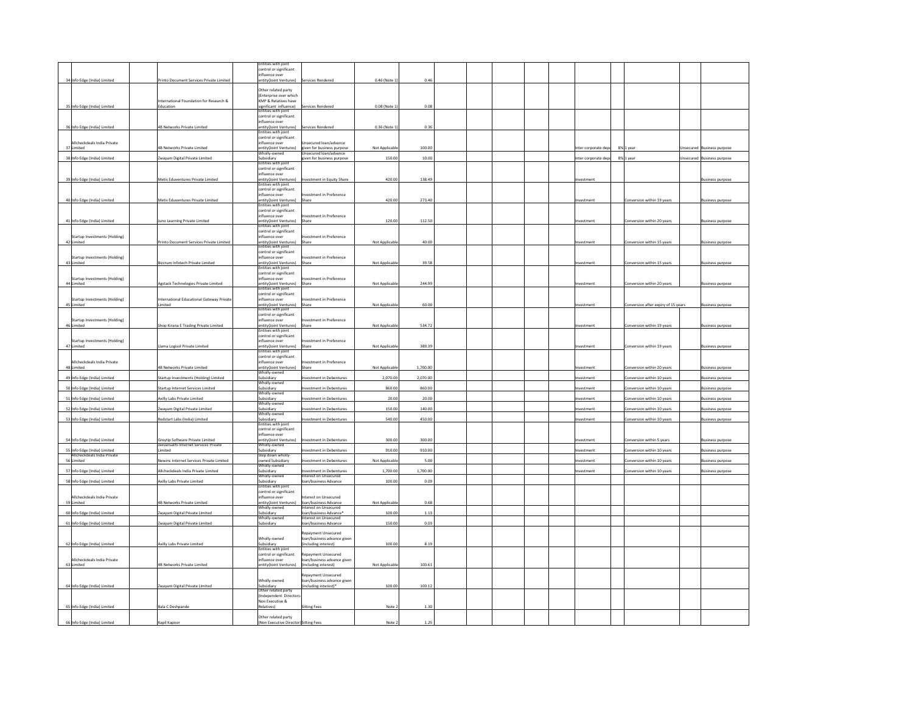|                                             |                                                      | ntities with joint                                |                                                     |                |          |  |  |                      |                                     |                            |
|---------------------------------------------|------------------------------------------------------|---------------------------------------------------|-----------------------------------------------------|----------------|----------|--|--|----------------------|-------------------------------------|----------------------------|
|                                             |                                                      | ontrol or significant<br>fluence over             |                                                     |                |          |  |  |                      |                                     |                            |
| 34 Info Edge (India) Limited                | Printo Document Services Private Limited             | ntity(Joint Ventures) Services Rendered           |                                                     | 0.46 (Note 1)  | 0.46     |  |  |                      |                                     |                            |
|                                             |                                                      | ther related party                                |                                                     |                |          |  |  |                      |                                     |                            |
|                                             |                                                      | Enterprise over which                             |                                                     |                |          |  |  |                      |                                     |                            |
| 35 Info Edge (India) Limited                | International Foundation for Research &<br>Education | KMP & Relatives have                              | Services Rendered                                   | 0.08 (Note 1)  | 0.08     |  |  |                      |                                     |                            |
|                                             |                                                      | significant influence)<br>Entities with joint     |                                                     |                |          |  |  |                      |                                     |                            |
|                                             |                                                      | ontrol or significant<br>influence over           |                                                     |                |          |  |  |                      |                                     |                            |
| 36 Info Edge (India) Limited                | 4B Networks Private Limited                          | ntity(Joint Ventures)                             | ervices Rendered                                    | 0.36 (Note 1)  | 0.36     |  |  |                      |                                     |                            |
|                                             |                                                      | ntities with joint                                |                                                     |                |          |  |  |                      |                                     |                            |
| Allcheckdeals India Private                 |                                                      | ontrol or significant<br>nfluence over            | secured loan/advance                                |                |          |  |  |                      |                                     |                            |
| 37 Limited                                  | 4B Networks Private Limited                          | ntity(Joint Ventures)                             | given for business purpose                          | Not Applicable | 100.00   |  |  | nter corporate depo  | 8% 1 year                           | Insecured Business purpose |
| 38 Info Edge (India) Limited                | Zwayam Digital Private Limited                       | Wholly-owned<br>Subsidiary                        | Unsecured loan/advance<br>iven for business purpose | 150.00         | 10.00    |  |  | Inter corporate depo | 8% 1 year                           | Insecured Business purpose |
|                                             |                                                      | ntities with joint                                |                                                     |                |          |  |  |                      |                                     |                            |
|                                             |                                                      | ontrol or significant<br>fluence over             |                                                     |                |          |  |  |                      |                                     |                            |
| 39 Info Edge (India) Limited                | Metis Eduventures Private Limited                    | ntity(Joint Ventures)                             | nvestment in Equity Share                           | 420.00         | 138.49   |  |  | nvestment            |                                     | <b>Business purpose</b>    |
|                                             |                                                      | with join<br>ontrol or significant                |                                                     |                |          |  |  |                      |                                     |                            |
|                                             |                                                      | fluence over                                      | tvestment in Preference                             |                |          |  |  |                      |                                     |                            |
| 40 Info Edge (India) Limited                | Metis Eduventures Private Limited                    | entity(Joint Ventures) Share                      |                                                     | 420.00         | 273.40   |  |  | Investment           | Conversion within 19 years          | <b>Business purpose</b>    |
|                                             |                                                      | ties with joint<br>ontrol or significant          |                                                     |                |          |  |  |                      |                                     |                            |
|                                             |                                                      | nfluence over                                     | westment in Preference                              |                |          |  |  |                      |                                     |                            |
| 41 Info Edge (India) Limited                | Juno Learning Private Limited                        | ntity(Joint Ventures) Share<br>ities with joint   |                                                     | 120.00         | 112.50   |  |  | Investment           | Conversion within 20 years          | <b>Business purpose</b>    |
|                                             |                                                      | ontrol or significant                             |                                                     |                |          |  |  |                      |                                     |                            |
| Startup Investments (Holding)               |                                                      | nfluence over                                     | tvestment in Preference                             |                | 40.00    |  |  |                      |                                     |                            |
| 42 Limited                                  | Printo Document Services Private Limited             | entity(Joint Ventures) Share                      |                                                     | Not Applicable |          |  |  | westment             | Conversion within 15 years          | Business purpose           |
|                                             |                                                      | ontrol or significant<br>nfluence over            | vestment in Preference                              |                |          |  |  |                      |                                     |                            |
| Startup Investments (Holding)<br>43 Limited | Bizcrum Infotech Private Limited                     | ntity(Joint Ventures)                             | Share                                               | Not Applicable | 39.58    |  |  | vestment             | Conversion within 15 years          | usiness purpose            |
|                                             |                                                      | ntities with joint                                |                                                     |                |          |  |  |                      |                                     |                            |
| Startup Investments (Holding)               |                                                      | ontrol or significant<br>nfluence over            | estment in Preference                               |                |          |  |  |                      |                                     |                            |
| 44 Limited                                  | Agstack Technologies Private Limited                 | ntity(Joint Ventures)                             | Share                                               | Not Applicable | 244.99   |  |  | nvestment            | Conversion within 20 years          | <b>Business purpose</b>    |
|                                             |                                                      | ntities with joint<br>ontrol or significant       |                                                     |                |          |  |  |                      |                                     |                            |
| Startup Investments (Holding)               | International Educational Gateway Private            | nfluence over                                     | vestment in Preference                              |                |          |  |  |                      |                                     |                            |
| 45 Limited                                  | Limited                                              | ntity(Joint Ventures) Share                       |                                                     | Not Applicable | 60.00    |  |  | westment             | Conversion after expiry of 15 years | <b>Business purpose</b>    |
|                                             |                                                      | tities with joint<br>ontrol or significant        |                                                     |                |          |  |  |                      |                                     |                            |
| Startup Investments (Holding)               |                                                      | ifluence over                                     | restment in Preference                              |                |          |  |  |                      |                                     |                            |
| 46 Limited                                  | Shop Kirana E Trading Private Limited                | ntity(Joint Ventures) Share<br>ntities with joint |                                                     | Not Applicable | 534.72   |  |  | westment             | Conversion within 19 years          | Business purpose           |
|                                             |                                                      | ontrol or significant                             |                                                     |                |          |  |  |                      |                                     |                            |
| Startup Investments (Holding)<br>47 Limited | lama Logisol Private Limited                         | fluence over<br>ntity(Joint Ventures)             | westment in Preference<br>Share                     | Not Applicable | 389.39   |  |  |                      | onversion within 19 years           | usiness purpose            |
|                                             |                                                      | ntities with joint                                |                                                     |                |          |  |  |                      |                                     |                            |
|                                             |                                                      | introl or significant                             |                                                     |                |          |  |  |                      |                                     |                            |
| Allcheckdeals India Private<br>48 Limited   | 4B Networks Private Limited                          | fluence over<br>ntity(Joint Ventures)             | vestment in Preference<br>Share                     | Not Applicable | 1,700.00 |  |  | westment             | Conversion within 20 years          | susiness purpose           |
|                                             |                                                      | Wholly-owned                                      |                                                     |                |          |  |  |                      |                                     |                            |
| 49 Info Edge (India) Limited                | Startup Investments (Holding) Limited                | Subsidiary<br>Wholly-owner                        | vestment in Debentures                              | 2,070.00       | 2,070.00 |  |  | westment             | Conversion within 10 years          | Business purpose           |
| 50 Info Edge (India) Limited                | Startup Internet Services Limited                    | Subsidiary                                        | restment in Debentures                              | 860.00         | 860.00   |  |  | vestment             | Conversion within 10 years          | <b>Business purpose</b>    |
| 51 Info Edge (India) Limited                | Axilly Labs Private Limited                          | Wholly-owned<br>Subsidiary                        | vestment in Debentures                              | 20.00          | 20.00    |  |  | westment             | Conversion within 10 years          | <b>Business purpose</b>    |
|                                             |                                                      | <b>Wholly-owned</b>                               |                                                     |                |          |  |  |                      |                                     |                            |
| 52 Info Edge (India) Limited                | wayam Digital Private Limited                        | Subsidiary<br>Wholly-owned                        | vestment in Debentures                              | 150.00         | 140.00   |  |  | westment             | Conversion within 10 years          | Business purpose           |
| 53 Info Edge (India) Limited                | Redstart Labs (India) Limited                        | Subsidiary                                        | westment in Debentures                              | 540.00         | 450.00   |  |  | Investment           | Conversion within 10 years          | <b>Business purpose</b>    |
|                                             |                                                      | ntities with joint                                |                                                     |                |          |  |  |                      |                                     |                            |
|                                             |                                                      | ontrol or significant<br>nfluence over            |                                                     |                |          |  |  |                      |                                     |                            |
| 54 Info Edge (India) Limited                | Greytip Software Private Limited                     | ntity(Joint Ventures)                             | nvestment in Debentures                             | 300.00         | 300.00   |  |  | nvestment            | Conversion within 5 years           | Business purpose           |
| 55 Info Edge (India) Limited                | Jeevansathi Internet Services Private<br>imited      | Vholly-owner<br>ubsidiary                         | estment in Debentures                               | 910.00         | 910.00   |  |  | westment             | Conversion within 10 years          | usiness purpose            |
| Allcheckdeals India Private                 |                                                      | Step down wholly                                  |                                                     |                |          |  |  |                      |                                     |                            |
| 56 Limited                                  | Newinc Internet Services Private Limited             | owned Subsidiary<br>holly-owned                   | restment in Debentures                              | Not Applicable | 5.00     |  |  | westment             | Conversion within 10 years          | Business purpose           |
| 57 Info Edge (India) Limited                | Ilcheckdeals India Private Limited                   | ubsidiary                                         | restment in Debentures                              | 1,700.00       | 1,700.00 |  |  | westmen              | Conversion within 10 years          | susiness purpose           |
| 58 Info Edge (India) Limited                | Axilly Labs Private Limited                          | Wholly-owned<br>Subsidiary                        | nterest on Unsecured<br>an/business Advance         | 100.00         | 0.09     |  |  |                      |                                     |                            |
|                                             |                                                      | ntities with joint                                |                                                     |                |          |  |  |                      |                                     |                            |
|                                             |                                                      | ontrol or significant                             |                                                     |                |          |  |  |                      |                                     |                            |
| Allcheckdeals India Private<br>59 Limited   | 4B Networks Private Limited                          | nfluence over<br>entity(Joint Ventures)           | terest on Unsecured<br>Ioan/business Advance        | Not Applicable | 0.68     |  |  |                      |                                     |                            |
|                                             |                                                      | Wholly-owned                                      | nterest on Unsecured                                |                |          |  |  |                      |                                     |                            |
| 60 Info Edge (India) Limited                | wayam Digital Private Limited                        | ubsidiary<br>Wholly-owned                         | pan/business Advance*<br>nterest on Unsecured       | 100.00         | 1.13     |  |  |                      |                                     |                            |
| 61 Info Edge (India) Limited                | Zwayam Digital Private Limited                       | Subsidiary                                        | pan/business Advance                                | 150.00         | 0.03     |  |  |                      |                                     |                            |
|                                             |                                                      |                                                   | epayment Unsecured                                  |                |          |  |  |                      |                                     |                            |
|                                             |                                                      | Wholly-owned                                      | oan/business advance given                          |                |          |  |  |                      |                                     |                            |
| 62 Info Edge (India) Limited                | Axilly Labs Private Limited                          | Subsidiary<br>Entities with jo                    | including interest)                                 | 100.00         | 8.19     |  |  |                      |                                     |                            |
|                                             |                                                      | ontrol or significant                             | epayment Unsecured                                  |                |          |  |  |                      |                                     |                            |
| Allcheckdeals India Private                 |                                                      | influence over                                    | ban/business advance given                          |                |          |  |  |                      |                                     |                            |
| 63 Limited                                  | 4B Networks Private Limited                          | ntity(Joint Ventures)                             | ncluding interest)                                  | Not Applicable | 100.61   |  |  |                      |                                     |                            |
|                                             |                                                      |                                                   | epayment Unsecured                                  |                |          |  |  |                      |                                     |                            |
| 64 Info Edge (India) Limited                | Zwayam Digital Private Limited                       | Wholly-owned                                      | pan/business advance given<br>including interest)*  | 100.00         | 100.12   |  |  |                      |                                     |                            |
|                                             |                                                      | <b>Subsidiary</b><br>Other related party          |                                                     |                |          |  |  |                      |                                     |                            |
|                                             |                                                      | Independent Directo<br>Non Executive &            |                                                     |                |          |  |  |                      |                                     |                            |
| 65 Info Edge (India) Limited                | <b>Bala C Deshpande</b>                              | Relatives)                                        | <b>Sitting Fees</b>                                 | Note 2         | 1.30     |  |  |                      |                                     |                            |
|                                             |                                                      | Other related party                               |                                                     |                |          |  |  |                      |                                     |                            |
| 66 Info Edge (India) Limited                | Kapil Kapoor                                         | Non Executive Director Sitting Fees               |                                                     | Note 2         | 1.25     |  |  |                      |                                     |                            |